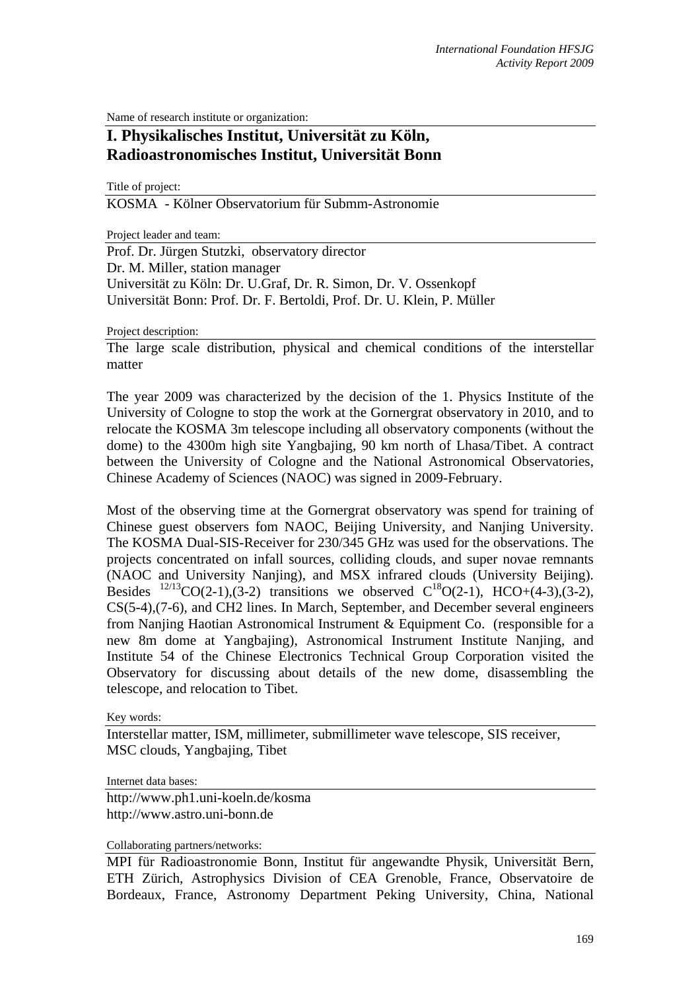Name of research institute or organization:

## **I. Physikalisches Institut, Universität zu Köln, Radioastronomisches Institut, Universität Bonn**

Title of project:

KOSMA - Kölner Observatorium für Submm-Astronomie

Project leader and team:

Prof. Dr. Jürgen Stutzki, observatory director Dr. M. Miller, station manager Universität zu Köln: Dr. U.Graf, Dr. R. Simon, Dr. V. Ossenkopf Universität Bonn: Prof. Dr. F. Bertoldi, Prof. Dr. U. Klein, P. Müller

Project description:

The large scale distribution, physical and chemical conditions of the interstellar matter

The year 2009 was characterized by the decision of the 1. Physics Institute of the University of Cologne to stop the work at the Gornergrat observatory in 2010, and to relocate the KOSMA 3m telescope including all observatory components (without the dome) to the 4300m high site Yangbajing, 90 km north of Lhasa/Tibet. A contract between the University of Cologne and the National Astronomical Observatories, Chinese Academy of Sciences (NAOC) was signed in 2009-February.

Most of the observing time at the Gornergrat observatory was spend for training of Chinese guest observers fom NAOC, Beijing University, and Nanjing University. The KOSMA Dual-SIS-Receiver for 230/345 GHz was used for the observations. The projects concentrated on infall sources, colliding clouds, and super novae remnants (NAOC and University Nanjing), and MSX infrared clouds (University Beijing). Besides  $^{12/13}CO(2-1),(3-2)$  transitions we observed  $C^{18}O(2-1)$ , HCO+(4-3),(3-2), CS(5-4),(7-6), and CH2 lines. In March, September, and December several engineers from Nanjing Haotian Astronomical Instrument & Equipment Co. (responsible for a new 8m dome at Yangbajing), Astronomical Instrument Institute Nanjing, and Institute 54 of the Chinese Electronics Technical Group Corporation visited the Observatory for discussing about details of the new dome, disassembling the telescope, and relocation to Tibet.

Key words:

Interstellar matter, ISM, millimeter, submillimeter wave telescope, SIS receiver, MSC clouds, Yangbajing, Tibet

Internet data bases:

http://www.ph1.uni-koeln.de/kosma http://www.astro.uni-bonn.de

Collaborating partners/networks:

MPI für Radioastronomie Bonn, Institut für angewandte Physik, Universität Bern, ETH Zürich, Astrophysics Division of CEA Grenoble, France, Observatoire de Bordeaux, France, Astronomy Department Peking University, China, National